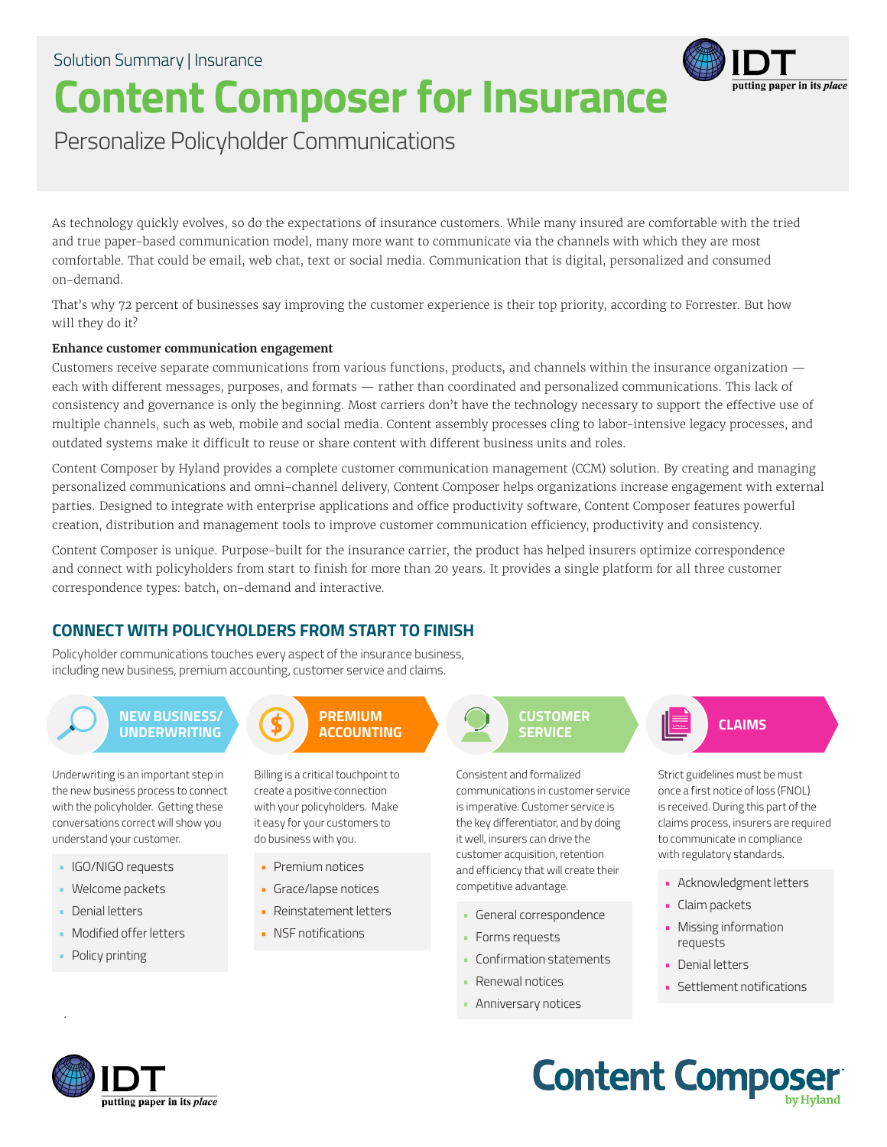# **Content Composer for Insurance**



Personalize Policyholder Communications

As technology quickly evolves, so do the expectations of insurance customers. While many insured are comfortable with the tried and true paper-based communication model, many more want to communicate via the channels with which they are most comfortable. That could be email, web chat, text or social media. Communication that is digital, personalized and consumed on-demand.

That's why 72 percent of businesses say improving the customer experience is their top priority, according to Forrester. But how will they do it?

#### **Enhance customer communication engagement**

Customers receive separate communications from various functions, products, and channels within the insurance organization each with different messages, purposes, and formats — rather than coordinated and personalized communications. This lack of consistency and governance is only the beginning. Most carriers don't have the technology necessary to support the effective use of multiple channels, such as web, mobile and social media. Content assembly processes cling to labor-intensive legacy processes, and outdated systems make it difficult to reuse or share content with different business units and roles.

Content Composer by Hyland provides a complete customer communication management (CCM) solution. By creating and managing personalized communications and omni-channel delivery, Content Composer helps organizations increase engagement with external parties. Designed to integrate with enterprise applications and office productivity software, Content Composer features powerful creation, distribution and management tools to improve customer communication efficiency, productivity and consistency.

Content Composer is unique. Purpose-built for the insurance carrier, the product has helped insurers optimize correspondence and connect with policyholders from start to finish for more than 20 years. It provides a single platform for all three customer correspondence types: batch, on-demand and interactive.

## **CONNECT WITH POLICYHOLDERS FROM START TO FINISH**

Policyholder communications touches every aspect of the insurance business, including new business, premium accounting, customer service and claims.

**NEW BUSINESS/ UNDERWRITING**

Underwriting is an important step in the new business process to connect with the policyholder. Getting these conversations correct will show you understand your customer.

- IGO/NIGO requests
- Welcome packets
- Denial letters
- Modified offer letters
- Policy printing

**PREMIUM**

Billing is a critical touchpoint to create a positive connection with your policyholders. Make it easy for your customers to do business with you.

- Premium notices
- Grace/lapse notices
- Reinstatement letters
- NSF notifications

**CUSTOMER SERVICE ACCOUNTING CLAIMS CLAIMS** 

> Consistent and formalized communications in customer service is imperative. Customer service is the key differentiator, and by doing it well, insurers can drive the customer acquisition, retention and efficiency that will create their competitive advantage.

- General correspondence
- Forms requests
- Confirmation statements
- Renewal notices
- Anniversary notices

Strict guidelines must be must once a first notice of loss (FNOL) is received. During this part of the claims process, insurers are required to communicate in compliance with regulatory standards.

- Acknowledgment letters
- Claim packets
- Missing information requests
- Denial letters
- Settlement notifications